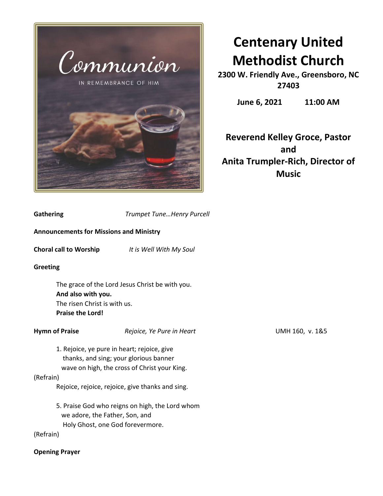

# Centenary United Methodist Church

2300 W. Friendly Ave., Greensboro, NC 27403

June 6, 2021 11:00 AM

Reverend Kelley Groce, Pastor and Anita Trumpler-Rich, Director of Music

Gathering Trumpet Tune...Henry Purcell

### Announcements for Missions and Ministry

Choral call to Worship It is Well With My Soul

### Greeting

The grace of the Lord Jesus Christ be with you. And also with you. The risen Christ is with us. Praise the Lord!

Hymn of Praise **Rejoice, Ye Pure in Heart** Measure 16, 2008, V. 1849

 1. Rejoice, ye pure in heart; rejoice, give thanks, and sing; your glorious banner wave on high, the cross of Christ your King.

### (Refrain)

Rejoice, rejoice, rejoice, give thanks and sing.

 5. Praise God who reigns on high, the Lord whom we adore, the Father, Son, and Holy Ghost, one God forevermore.

(Refrain)

### Opening Prayer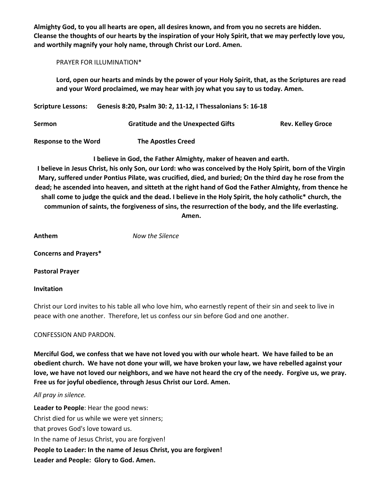Almighty God, to you all hearts are open, all desires known, and from you no secrets are hidden. Cleanse the thoughts of our hearts by the inspiration of your Holy Spirit, that we may perfectly love you, and worthily magnify your holy name, through Christ our Lord. Amen.

| PRAYER FOR ILLUMINATION* |
|--------------------------|
|--------------------------|

Lord, open our hearts and minds by the power of your Holy Spirit, that, as the Scriptures are read and your Word proclaimed, we may hear with joy what you say to us today. Amen.

| <b>Scripture Lessons:</b>   | Genesis 8:20, Psalm 30: 2, 11-12, I Thessalonians 5: 16-18 |                          |
|-----------------------------|------------------------------------------------------------|--------------------------|
| Sermon                      | <b>Gratitude and the Unexpected Gifts</b>                  | <b>Rev. Kelley Groce</b> |
| <b>Response to the Word</b> | <b>The Apostles Creed</b>                                  |                          |

I believe in God, the Father Almighty, maker of heaven and earth.

I believe in Jesus Christ, his only Son, our Lord: who was conceived by the Holy Spirit, born of the Virgin Mary, suffered under Pontius Pilate, was crucified, died, and buried; On the third day he rose from the dead; he ascended into heaven, and sitteth at the right hand of God the Father Almighty, from thence he shall come to judge the quick and the dead. I believe in the Holy Spirit, the holy catholic\* church, the communion of saints, the forgiveness of sins, the resurrection of the body, and the life everlasting. Amen.

Anthem Now the Silence

Concerns and Prayers\*

Pastoral Prayer

Invitation

Christ our Lord invites to his table all who love him, who earnestly repent of their sin and seek to live in peace with one another. Therefore, let us confess our sin before God and one another.

# CONFESSION AND PARDON.

Merciful God, we confess that we have not loved you with our whole heart. We have failed to be an obedient church. We have not done your will, we have broken your law, we have rebelled against your love, we have not loved our neighbors, and we have not heard the cry of the needy. Forgive us, we pray. Free us for joyful obedience, through Jesus Christ our Lord. Amen.

### All pray in silence.

Leader to People: Hear the good news: Christ died for us while we were yet sinners; that proves God's love toward us. In the name of Jesus Christ, you are forgiven! People to Leader: In the name of Jesus Christ, you are forgiven! Leader and People: Glory to God. Amen.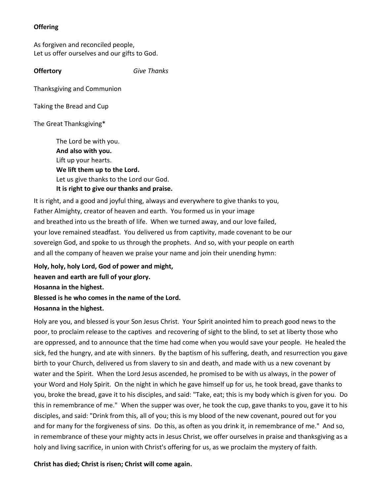# **Offering**

As forgiven and reconciled people, Let us offer ourselves and our gifts to God.

**Offertory Give Thanks** 

Thanksgiving and Communion

Taking the Bread and Cup

The Great Thanksgiving\*

The Lord be with you. And also with you. Lift up your hearts. We lift them up to the Lord. Let us give thanks to the Lord our God. It is right to give our thanks and praise.

It is right, and a good and joyful thing, always and everywhere to give thanks to you, Father Almighty, creator of heaven and earth. You formed us in your image and breathed into us the breath of life. When we turned away, and our love failed, your love remained steadfast. You delivered us from captivity, made covenant to be our sovereign God, and spoke to us through the prophets. And so, with your people on earth and all the company of heaven we praise your name and join their unending hymn:

Holy, holy, holy Lord, God of power and might, heaven and earth are full of your glory. Hosanna in the highest. Blessed is he who comes in the name of the Lord. Hosanna in the highest.

Holy are you, and blessed is your Son Jesus Christ. Your Spirit anointed him to preach good news to the poor, to proclaim release to the captives and recovering of sight to the blind, to set at liberty those who are oppressed, and to announce that the time had come when you would save your people. He healed the sick, fed the hungry, and ate with sinners. By the baptism of his suffering, death, and resurrection you gave birth to your Church, delivered us from slavery to sin and death, and made with us a new covenant by water and the Spirit. When the Lord Jesus ascended, he promised to be with us always, in the power of your Word and Holy Spirit. On the night in which he gave himself up for us, he took bread, gave thanks to you, broke the bread, gave it to his disciples, and said: "Take, eat; this is my body which is given for you. Do this in remembrance of me." When the supper was over, he took the cup, gave thanks to you, gave it to his disciples, and said: "Drink from this, all of you; this is my blood of the new covenant, poured out for you and for many for the forgiveness of sins. Do this, as often as you drink it, in remembrance of me." And so, in remembrance of these your mighty acts in Jesus Christ, we offer ourselves in praise and thanksgiving as a holy and living sacrifice, in union with Christ's offering for us, as we proclaim the mystery of faith.

Christ has died; Christ is risen; Christ will come again.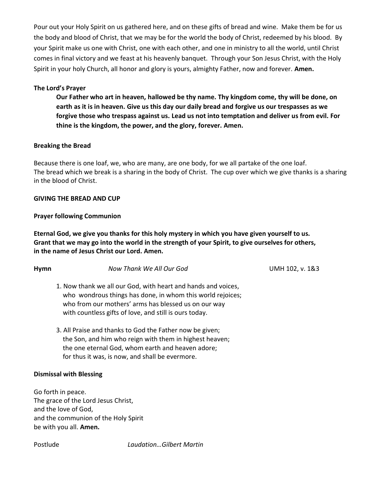Pour out your Holy Spirit on us gathered here, and on these gifts of bread and wine. Make them be for us the body and blood of Christ, that we may be for the world the body of Christ, redeemed by his blood. By your Spirit make us one with Christ, one with each other, and one in ministry to all the world, until Christ comes in final victory and we feast at his heavenly banquet. Through your Son Jesus Christ, with the Holy Spirit in your holy Church, all honor and glory is yours, almighty Father, now and forever. Amen.

# The Lord's Prayer

Our Father who art in heaven, hallowed be thy name. Thy kingdom come, thy will be done, on earth as it is in heaven. Give us this day our daily bread and forgive us our trespasses as we forgive those who trespass against us. Lead us not into temptation and deliver us from evil. For thine is the kingdom, the power, and the glory, forever. Amen.

# Breaking the Bread

Because there is one loaf, we, who are many, are one body, for we all partake of the one loaf. The bread which we break is a sharing in the body of Christ. The cup over which we give thanks is a sharing in the blood of Christ.

# GIVING THE BREAD AND CUP

# Prayer following Communion

Eternal God, we give you thanks for this holy mystery in which you have given yourself to us. Grant that we may go into the world in the strength of your Spirit, to give ourselves for others, in the name of Jesus Christ our Lord. Amen.

| <b>Hymn</b> | Now Thank We All Our God                                      | UMH 102, v. 1&3 |
|-------------|---------------------------------------------------------------|-----------------|
|             | 1. Now thank we all our God, with heart and hands and voices, |                 |
|             | who wondrous things has done, in whom this world rejoices;    |                 |

- who from our mothers' arms has blessed us on our way with countless gifts of love, and still is ours today.
- 3. All Praise and thanks to God the Father now be given; the Son, and him who reign with them in highest heaven; the one eternal God, whom earth and heaven adore; for thus it was, is now, and shall be evermore.

### Dismissal with Blessing

Go forth in peace. The grace of the Lord Jesus Christ, and the love of God, and the communion of the Holy Spirit be with you all. Amen.

Postlude Laudation…Gilbert Martin